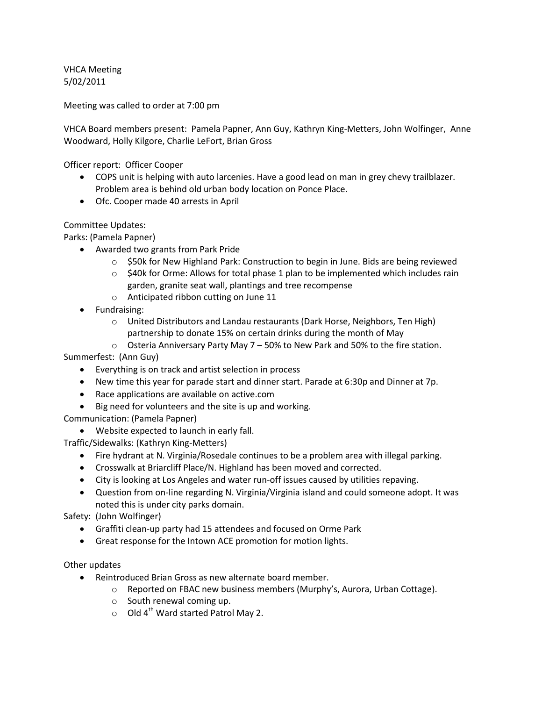VHCA Meeting 5/02/2011

Meeting was called to order at 7:00 pm

VHCA Board members present: Pamela Papner, Ann Guy, Kathryn King-Metters, John Wolfinger, Anne Woodward, Holly Kilgore, Charlie LeFort, Brian Gross

Officer report: Officer Cooper

- COPS unit is helping with auto larcenies. Have a good lead on man in grey chevy trailblazer. Problem area is behind old urban body location on Ponce Place.
- Ofc. Cooper made 40 arrests in April

Committee Updates:

Parks: (Pamela Papner)

- Awarded two grants from Park Pride
	- o \$50k for New Highland Park: Construction to begin in June. Bids are being reviewed
	- $\circ$  \$40k for Orme: Allows for total phase 1 plan to be implemented which includes rain garden, granite seat wall, plantings and tree recompense
	- o Anticipated ribbon cutting on June 11
- Fundraising:
	- o United Distributors and Landau restaurants (Dark Horse, Neighbors, Ten High) partnership to donate 15% on certain drinks during the month of May
	- o Osteria Anniversary Party May 7 50% to New Park and 50% to the fire station.

Summerfest: (Ann Guy)

- Everything is on track and artist selection in process
- New time this year for parade start and dinner start. Parade at 6:30p and Dinner at 7p.
- Race applications are available on active.com
- Big need for volunteers and the site is up and working.

Communication: (Pamela Papner)

Website expected to launch in early fall.

Traffic/Sidewalks: (Kathryn King-Metters)

- Fire hydrant at N. Virginia/Rosedale continues to be a problem area with illegal parking.
- Crosswalk at Briarcliff Place/N. Highland has been moved and corrected.
- City is looking at Los Angeles and water run-off issues caused by utilities repaving.
- Question from on-line regarding N. Virginia/Virginia island and could someone adopt. It was noted this is under city parks domain.

Safety: (John Wolfinger)

- Graffiti clean-up party had 15 attendees and focused on Orme Park
- Great response for the Intown ACE promotion for motion lights.

Other updates

- Reintroduced Brian Gross as new alternate board member.
	- o Reported on FBAC new business members (Murphy's, Aurora, Urban Cottage).
	- o South renewal coming up.
	- $\circ$  Old 4<sup>th</sup> Ward started Patrol May 2.